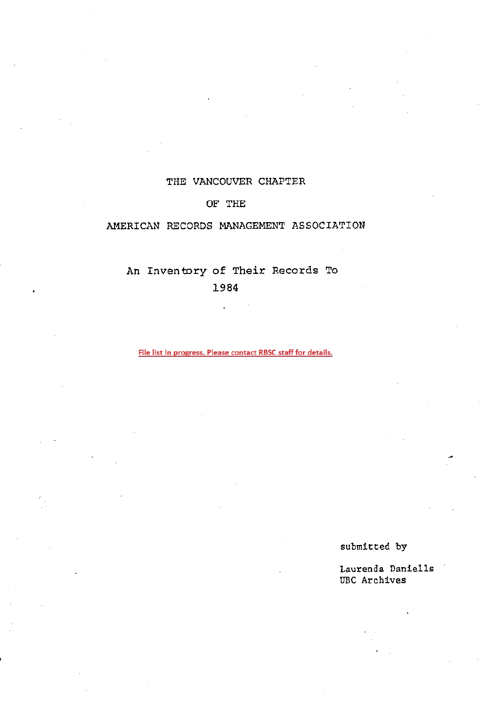### THE VANCOUVER CHAPTER

### OF THE

### AMERICAN RECORDS MANAGEMENT ASSOCIATION

## An Inventory of Their Records To 1984

 $\ddot{\phantom{0}}$ 

File list in progress. Please contact RBSC staff for details.

submitted by

Laurenda Daniells UBC Archives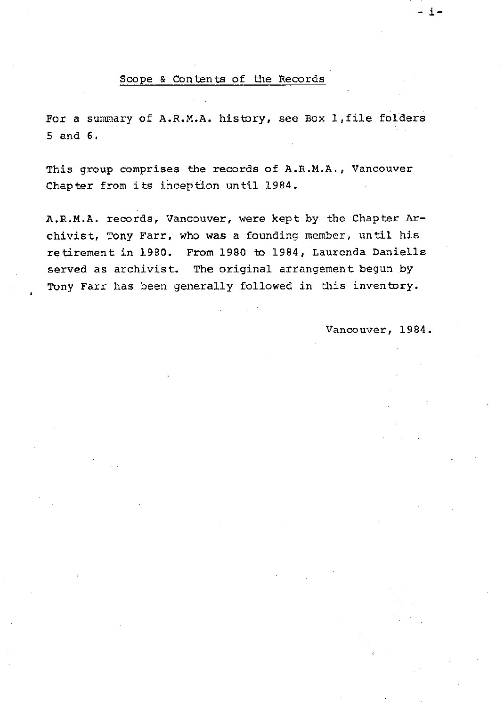#### Scope & Contents of the Records

For a summary of A.R.M.A. history, see Box 1, file folders 5 and 6 .

This group comprises the records of A.R.M.A., Vancouver Chapter from its inception until 1984 .

A.R.M.A. records, Vancouver, were kept by the Chapter Archivist, Tony Farr, who was a founding member, until his retirement in 1980. From 1980 to 1984, Laurenda Daniells served as archivist. The original arrangement begun by Tony Farr has been generally followed in this inventory.

Vancouver, 1984.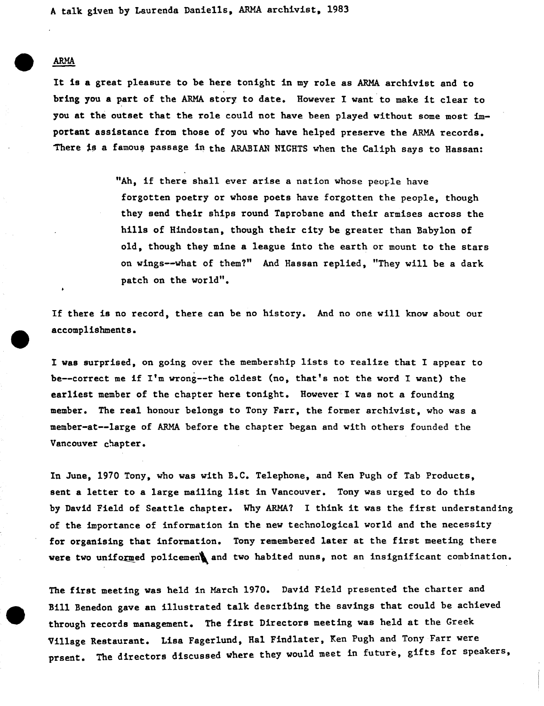**A talk given by Laurenda Daniells, ARMA archivist, 198 3**

**ARMA**

**•**

**•**

**4111**

**It is a great pleasure to be here tonight in my role as ARMA archivist and to bring you a part of the ARMA story to date. However I want to make it clear t o you at the outset that the role could not have been played without some most important assistance from those of you who have helped preserve the ARMA records . "There is a famous passage in the ARABIAN NIGHTS when the Caliph says to Hassan :**

> "Ah, if there shall ever arise a nation whose people have **forgotten poetry or whose poets have forgotten the people, though they send their ships round Taprobane and their armises across the** hills of Hindostan, though their city be greater than Babylon of **old, though they mine a league into the earth or mount to the star s on wings--what of them?" And Hassan replied, "They will be a dark patch on the world" .**

**If there is no record, there can be no history . And no one will know about our accomplishments .**

**I was surprised, on going over the membership lists to realize that I appear to be--correct me if I'm wrong--the oldest (no, that's not the word I want) th e earliest** member of the chapter here tonight. However I was not a founding **member . The real honour belongs to Tony Farr, the former archivist, who was a member-at--large of ARMA before the chapter began and with others founded th e Vancouver chapter .**

**In June, 1970 Tony, who was with <sup>B</sup> .C. Telephone, and Ken Pugh of Tab Products , sent a letter to a large mailing list in Vancouver . Tony was urged to do thi s by David Field of Seattle chapter . Why ARMA? I think it was the first understandin g** of the importance of information in the new technological world and the necessity **for organising that information . Tony remembered later at the first meeting ther e** were two uniformed policement and two habited nuns, not an insignificant combination.

**The first meeting was held in March 1970 . David Field presented the charter and** Bill Benedon gave an illustrated talk describing the savings that could be achieved **through records management . The first Directors meeting was held at the Gree k Village Restaurant . Lisa Fagerlund, Hal Findlater, Ken Pugh and Tony Farr wer <sup>e</sup> prsent . The directors discussed where they would meet in future, gifts for speakers,**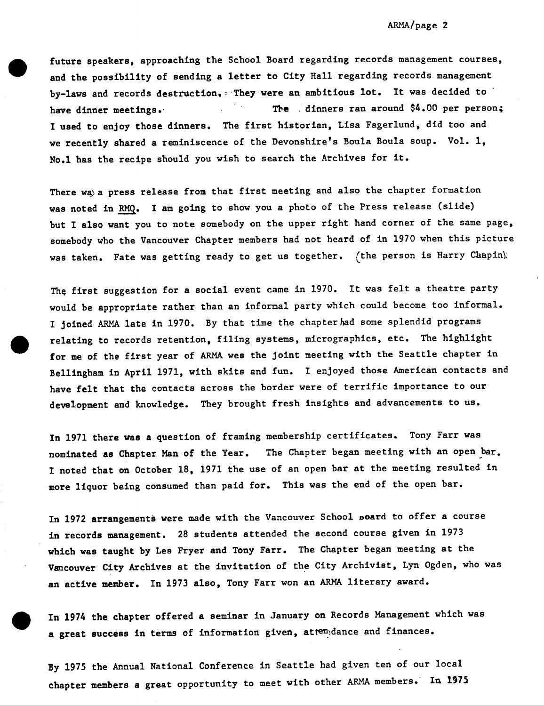**. future speakers, approaching the School Board regarding records management courses ,** and the possibility of sending a letter to City Hall regarding records management by-laws and records destruction, They were an ambitious lot. It was decided to **have dinner meetings . - The . dinners ran around \$4 .00 per person ;** I used to enjoy those dinners. The first historian, Lisa Fagerlund, did too and we recently shared a reminiscence of the Devonshire's Boula Boula soup. Vol. 1, **No .1 has the recipe should you wish to** search the Archives for it .

There wa) a press release from that first meeting and also the chapter formation was noted in RMQ. I am going to show you a photo of the Press release (slide) but I also want you to note **somebody** on the upper right hand corner of the same page , somebody who the Vancouver Chapter members had not heard of in 1970 when this picture was taken. Fate was getting ready to get us together. (the person is Harry Chapin):

The first suggestion for a social event came in 1970. It was felt a theatre party would be **appropriate** rather than an informal party which could become too informal . I joined ARMA late in 1970. By that time the chapter had some splendid programs relating to records retention, filing systems, micrographics, etc. The highlight for me of the first year of ARMA wes the joint meeting with the Seattle chapter in Bellingham in April 1971, with skits and fun. I enjoyed those American contacts and have felt that the contacts across the border were of terrific importance to our **development** and **knowledge .** They brought fresh insights and advancements to us .

**O**

**•**

In 1971 there was a question of framing membership certificates. Tony Farr was **nominated as Chapter Man of the Year . The Chapter began meeting with an open bar .** I noted that on October 18, 1971 the use of an open bar at the meeting resulted in **more liquor being consumed than paid for . This was the end of the open bar .**

In 1972 **arrangements** were made with the Vancouver School **hoard** to offer a cours <sup>e</sup> in records management. 28 students attended the second course given in 1973 which was taught by Les Fryer and Tony Farr. The Chapter began meeting at the Vancouver City Archives at the invitation of the City Archivist, Lyn Ogden, who was an active member. In 1973 also, Tony Farr won an ARMA literary award.

In 1974 the chapter offered a seminar in January on Records Management which was a great success in terms of information given, attendance and finances.

By 1975 the Annual National Conference in Seattle had given ten of our local chapter members a great opportunity to meet with other ARMA members. In 1975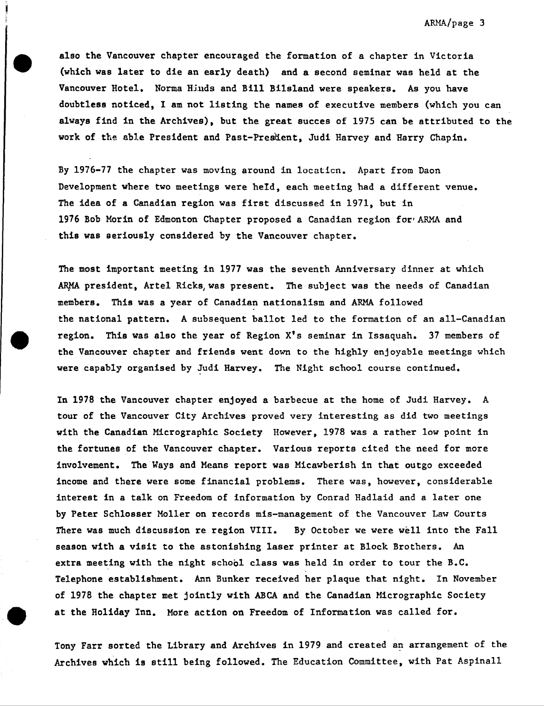also the Vancouver chapter encouraged the formation of a chapter in Victoria (which was later to die an early death) and a second seminar was held at the **Vancouver Hotel . Norma Hinds and Bill Bilsland were speakers . As you hav e doubtless noticed,** I am not listing the names of executive members (which you can **always find in the Archives), but the great succes of 1975 can be attributed to th e work of the able President and Past-Preskient, Judi Harvey and Harry Chapin .**

By 1976-77 the chapter was moving around in location. Apart from Daon **Development** where two meetings were held, each meeting had a different venue . The idea of a Canadian region was first discussed in 1971, but in 1976 **Bob** Morin of Edmonton Chapter **proposed** a Canadian region for , ARMA and this **was seriously considered by** the **Vancouver** chapter .

The most important meeting in 1977 was the seventh Anniversary dinner at which ARMA president, Artel Ricks, was present. The subject was the needs of Canadian members. This was a year of Canadian nationalism and ARMA followed the national pattern. A subsequent ballot led to the formation of an all-Canadian region. This was also the year of Region  $X'$ s seminar in Issaquah. 37 members of the Vancouver chapter and friends went down to the highly enjoyable meetings which were **capably organised by** Judi **Harvey.** The Night school course continued.

**In 1978 the Vancouver chapter enjoyed a barbecue at the home of Judi Harvey . A tour of the Vancouver City Archives proved very interesting as did two meeting <sup>s</sup> with the Canadian Micrographic Society However, 1978 was a rather low point i n the fortunes of the Vancouver chapter . Various reports cited the need for mor e involvement . The Ways and Means report was Micawberish in that outgo exceede d income and there were some financial problems . There was, however, considerable interest in a talk on Freedom of information by Conrad Hadlaid and a later on e** by Peter Schlosser Moller on records mis-management of the Vancouver Law Courts **There was much discussion re region VIII . By October we were well into the Fal <sup>l</sup> season with a visit to the astonishing laser printer at Block Brothers . An extra meeting with the night school class was held in order to tour the B .C . Telephone establishment . Ann Bunker received her plaque that night . In Novembe r of 1978 the chapter met jointly with ABCA and the Canadian Micrographic Societ y at the Holiday Inn . More action on Freedom of Information was called for .**

Tony Farr sorted the Library and Archives in 1979 and created an arrangement of the Archives which is still being followed. The Education Committee, with Pat Aspinall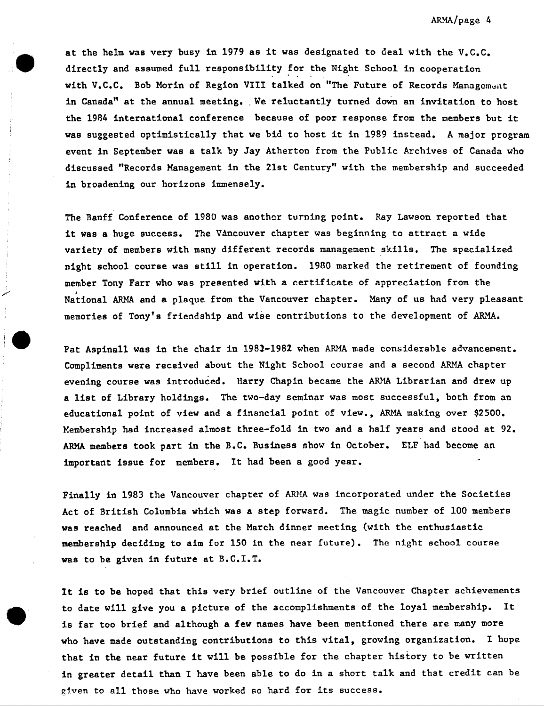**at the helm was very busy in 1979 as it was designated to deal with the V .C .C . directly and assumed full responsibility for the Night School in cooperatio n** with V.C.C. Bob Morin of Region VIII talked on "The Future of Records Management in Canada" at the annual meeting. We reluctantly turned down an invitation to host **the 1984 international conference because of poor response from the members but i t was suggested optimistically that we bid to host it in 1989 instead . A major program event in September was a talk by Jay Atherton from the Public Archives of Canada wh o discussed "Records Management in the 21st Century" with the membership and succeede d in broadening our horizons immensely .**

**The Banff Conference of 1980 was another turning point . Ray Lawson reported tha <sup>t</sup> it was a huge success . The Vancouver chapter was beginning to attract a wide variety of members with many different records management skills . The specialized night school course was still in operation . 1980 marked the retirement of foundin g** member Tony Farr who was presented with a certificate of appreciation from the National ARMA and a plaque from the Vancouver chapter. Many of us had very pleasant **memories of Tony's friendship and wise contributions to the development of ARMA .**

**Pat Aspinall was in the chair in 1981-1982 when ARMA made considerable advancement . Compliments were received about the Night School course and a second ARMA chapte r evening course was introduced . Harry Chapin became the ARMA Librarian and drew u p a list of Library holdings . The two-day seminar was most successful, both from an educational point of view and a financial point of view ., ARMA making over \$2500 . Membership had increased almost three-fold in two and a half years and stood at 92 . ARMA members took part in the B .C . Business show in October . ELF had become an important issue for members . It had been a good year .**

**Finally in 1983 the Vancouver chapter of ARMA was incorporated under the Societie s Act of British Columbia which was a step forward . The magic number of 100 members** was reached and announced at the March dinner meeting (with the enthusiastic **membership deciding to aim for 150 in the near future) . The night school cours <sup>e</sup> was to be given in future at B .C .I .T.**

It is to be hoped that this very brief outline of the Vancouver Chapter achievements **to date will give you a picture of the accomplishments of the loyal membership . I <sup>t</sup>** is far too brief and although a few names have been mentioned there are many more **who have made outstanding contributions to this vital, growing organization . I hope that in the near future it will be possible for the chapter history to be written in greater detail than I have been able to do in a short talk and that credit can be given to all those who have worked so hard for its success .**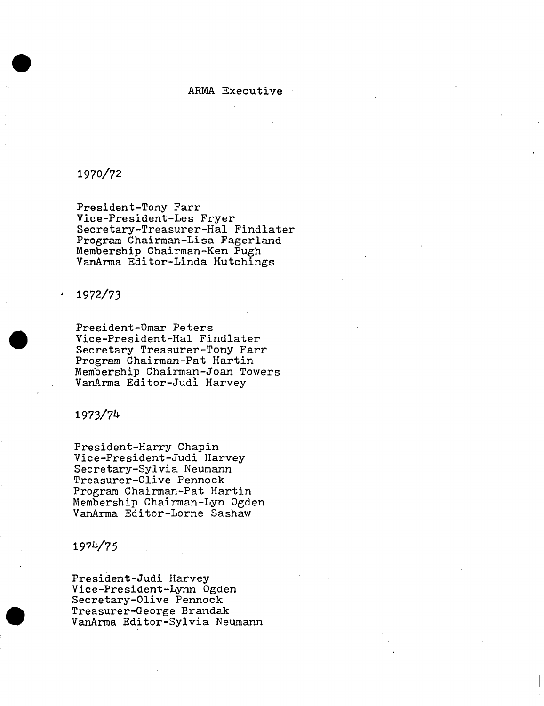### ARMA Executive

## 1970/72

President-Tony Farr Vice-President-Les Fryer Secretary-Treasurer-Hal Findlater Program Chairman-Lisa Fagerland Membership Chairman-Ken Pugh VanArma Editor-Linda Hutchings

### 1972/73

President-Omar Peters Vice-President-Hal Findlater Secretary Treasurer-Tony Farr Program Chairman-Pat Hartin Membership Chairman-Joan Tower <sup>s</sup> VanArma Editor-Judi Harvey

1973/74

President-Harry Chapin Vice-President-Judi Harvey Secretary-Sylvia Neumann Treasurer-Olive Pennock Program Chairman-Pat Hartin Membership Chairman-Lyn Ogden VanArma Editor-Lorne Sashaw

### 1974/75

President-Judi Harvey Vice-President-Lynn Ogden Secretary-Olive Pennock Treasurer-George Brandak VanArma Editor-Sylvia Neumann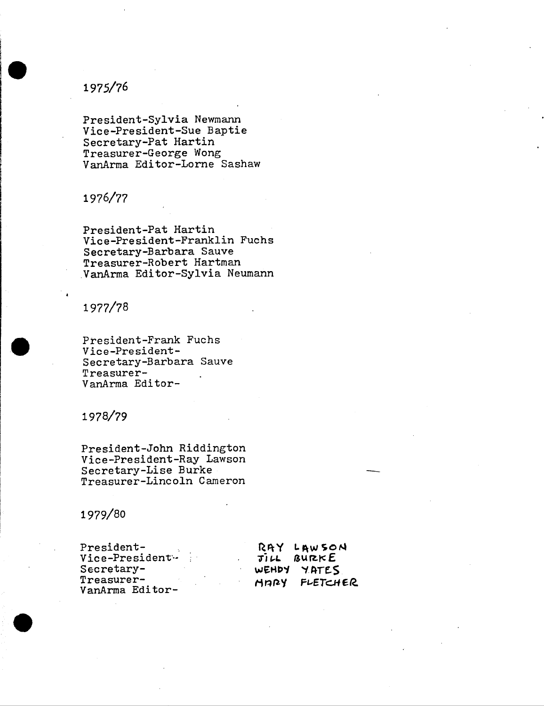## 1975/7<sup>6</sup>

President-Sylvia Newmann Vice-President-Sue Baptie Secretary-Pat Hartin Treasurer-George Wong VanArma Editor-Lorne Sashaw

## 1976/77

President-Pat Hartin Vice-President-Franklin Fuchs Secretary-Barbara Sauve Treasurer-Robert Hartman VanArma Editor-Sylvia Neumann

## 1977/78

President-Frank Fuchs Vice-President - Secretary-Barbara Sauve Treasurer-VanArma Editor-

### 1978/79

President-John Riddington Vice-President-Ray Lawson Secretary-Lise Burke Treasurer-Lincoln Cameron

### 1979/80

President-Vice-President'- Secretary-Treasurer-VanArma Editor-

RAY LAWSON<br>JILL BURKE **dirt Abu2K E WFNay** y**.4TES Mr~~Y FVETGiEe.**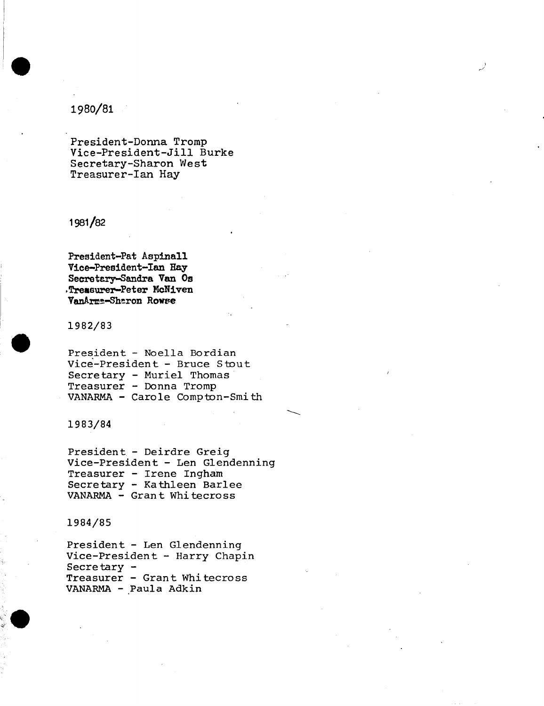## 1980/81

President-Donna Tromp Vice-President-Jill Burke Secretary-Sharon West Treasurer-Ian Hay

### 1981/82

**President-Pat Aspinall Vice-President-Ian Hay Secretary-Sandra Van Os .Treasurer-Peter McNiven** VanArm<sup>e</sup>-Sharon Rowse

1982/8 <sup>3</sup>

President - Noella Bordian Vice-President - Bruce Stout Secretary - Muriel Thomas Treasurer - Donna Tromp VANARMA - Carole Compton-Smith

#### 1983/84

President - Deirdre Greig Vice-President - Len Glendenning Treasurer - Irene Ingham Secretary - Kathleen Barlee VANARMA - Grant Whitecross

#### 1984/85

President - Len Glendenning Vice-President - Harry Chapin Secretary - Treasurer - Grant Whitecross VANARMA - Paula Adkin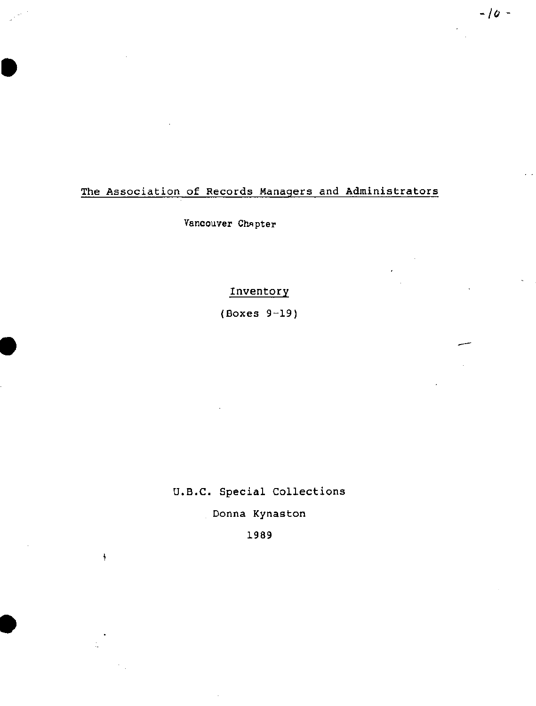## The Association of Records Managers and Administrators

Vancouver Chapter

## **Inventory**

(Boxes 9-19 )

U.B.C. Special Collections

Donna Kynaston

**1989**

 $\frac{1}{2}$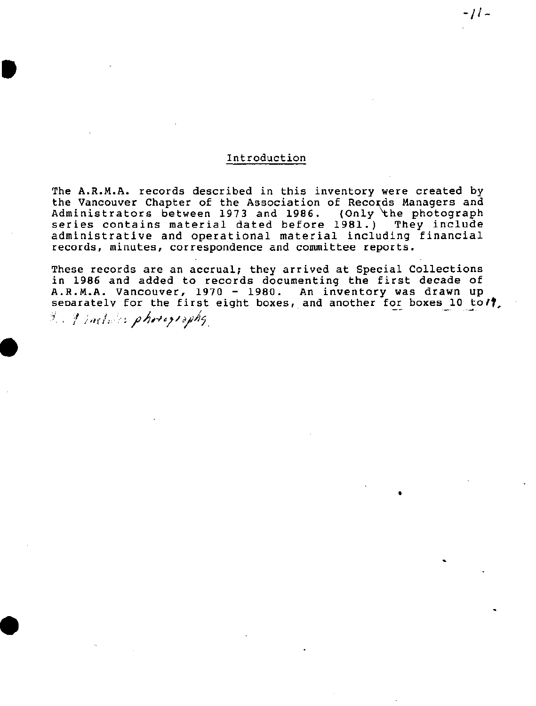### Introduction

The A.R.M.A. records described in this inventory were created by the Vancouver Chapter of the Association of Records Managers and Administrators between 1973 and 1986. (Only the photograph series contains material dated before 1981.) They include administrative and operational material including financial records, minutes, correspondence and committee reports .

These records are an accrual; they arrived at Special Collections in 1986 and added to records documenting the first decade of A.R.M.A. Vancouver, 1970 - 1980. An inventory was drawn up separately for the first eight boxes, and another for boxes 10 to/?

*<sup>f</sup> .r* '404t,/d//15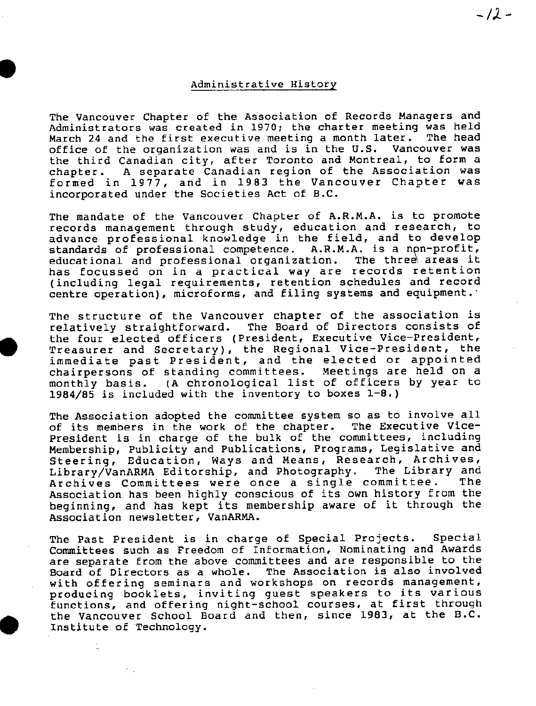#### Administrative History

The Vancouver Chapter of the Association of Records Managers and Administrators was created in 1970; the charter meeting was held<br>March 24 and the first executive meeting a month later. The head March 24 and the first executive meeting a month later. The head<br>office of the organization was and is in the U.S. Vancouver was office of the organization was and is in the U.S. the third Canadian city, after Toronto and Montreal, to form a chapter. A separate Canadian region of the Association was formed in 1977, and in 1983 the Vancouver Chapter was incorporated under the Societies Act of B.C.

The mandate of the Vancouver Chapter of A.R.M.A. is to promote records management through study, education and research, to advance professional knowledge in the field, and to develop standards of professional competence. A.R.M.A. is a non-profit,<br>educational and professional organization. The three areas it educational and professional organization. has focussed on in a practical way are records retention (including legal requirements, retention schedules and record centre operation), microforms, and filing systems and equipment . '

The structure of the Vancouver chapter of the association is relatively straightforward. The Board of Directors consists of the four elected officers (President, Executive Vice-President, Treasurer and Secretary), the Regional Vice-President, the immediate past President, and the elected or appointed chairpersons of standing committees. Meetings are held on a monthly basis. (A chronological list of officers by year to 1984/85 is included with the inventory to boxes 1-8 . )

The Association adopted the committee system so as to involve all of its members in the work of the chapter. The Executive Vice-President is in charge of the bulk of the committees, including Membership, Publicity and Publications, Programs, Legislative and Steering, Education, Ways and Means, Research, Archives,<br>Library/VanARMA Editorship, and Photography, The Library and Library/VanARMA Editorship, and Photography . The Library and Archives Committees were once a single committee. Association has been highly conscious of its own history from the beginning, and has kept its membership aware of it through the Association newsletter, VanARMA .

The Past President is in charge of Special Projects. Special Committees such as Freedom of Information, Nominating and Awards are separate from the above committees and are responsible to the Board of Directors as a whole. The Association is also involved with offering seminars and workshops on records management , producing booklets, inviting guest speakers to its various functions, and offering night-school courses, at first through the Vancouver School Board and then, since 1983, at the B.C. Institute of Technology .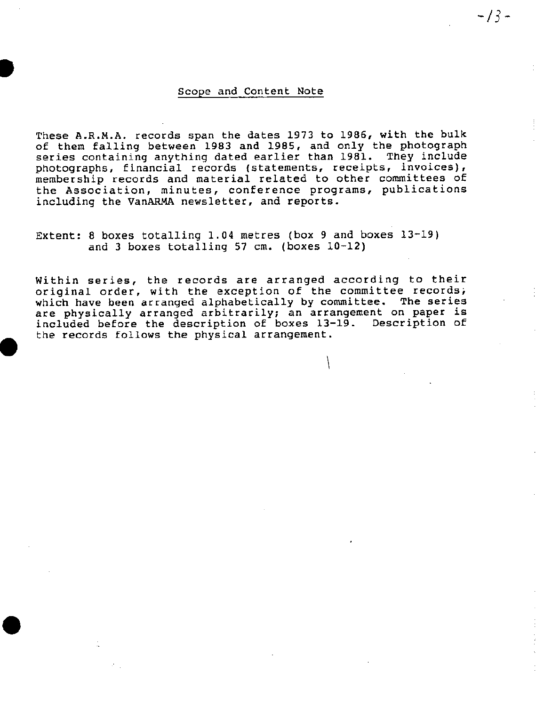#### Scope and Content Note

These A.R.M.A. records span the dates 1973 to 1986, with the bulk of them falling between 1983 and 1985, and only the photograph series containing anything dated earlier than 1981. They include photographs, financial records (statements, receipts, invoices) , membership records and material related to other committees of the Association, minutes, conference programs, publications including the VanARMA newsletter, and reports .

Extent: 8 boxes totalling 1.04 metres (box 9 and boxes 13-19) and 3 boxes totalling  $57$  cm. (boxes  $10-12$ )

Within series, the records are arranged according to their original order, with the exception of the committee records ; which have been arranged alphabetically by committee. The series are physically arranged arbitrarily; an arrangement on paper is included before the description of boxes 13-19 . Description of the records follows the physical arrangement.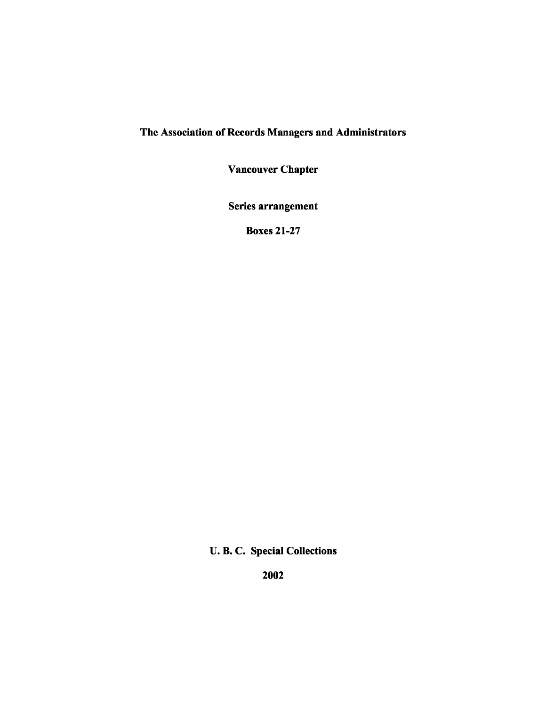## **The Association of Records Managers and Administrator s**

**Vancouver Chapter**

**Series arrangement**

**Boxes 21-27**

**U. B. C. Special Collections**

**2002**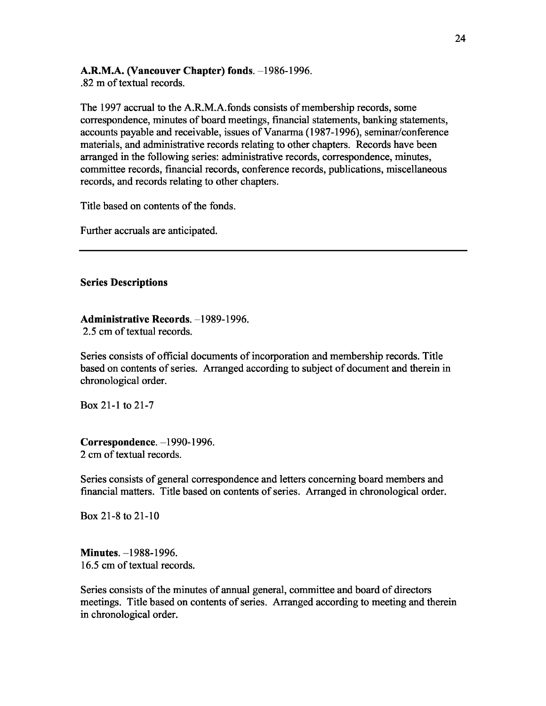### **A.R.M.A. (Vancouver Chapter) fonds.** –1986-1996 .

.82 m of textual records.

The 1997 accrual to the A.R.M.A.fonds consists of membership records, some correspondence, minutes of board meetings, financial statements, banking statements, accounts payable and receivable, issues of Vanarma (1987-1996), seminar/conference materials, and administrative records relating to other chapters. Records have been arranged in the following series: administrative records, correspondence, minutes, committee records, financial records, conference records, publications, miscellaneous records, and records relating to other chapters .

Title based on contents of the fonds.

Further accruals are anticipated.

### **Series Descriptions**

### **Administrative Records.** –1989-1996.

2.5 cm of textual records.

Series consists of official documents of incorporation and membership records. Title based on contents of series. Arranged according to subject of document and therein in chronological order.

Box 21-1 to 21-7

**Correspondence .** –1990-1996 . 2 cm of textual records.

Series consists of general correspondence and letters concerning board members and financial matters. Title based on contents of series. Arranged in chronological order.

Box 21-8 to 21-10

**Minutes.** –1988-1996 . 16.5 cm of textual records.

Series consists of the minutes of annual general, committee and board of directors meetings. Title based on contents of series. Arranged according to meeting and therein in chronological order.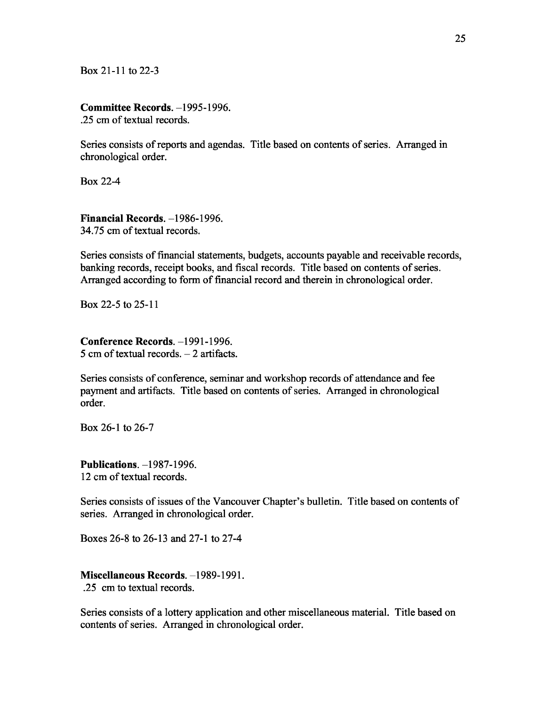Box 21-11 to 22-3

## **Committee Records.** –1995-1996 .

.25 cm of textual records.

Series consists of reports and agendas. Title based on contents of series. Arranged in chronological order.

Box 22-4

**Financial Records.** –1986-1996 . 34.75 cm of textual records.

Series consists of financial statements, budgets, accounts payable and receivable records, banking records, receipt books, and fiscal records. Title based on contents of series . Arranged according to form of financial record and therein in chronological order.

Box 22-5 to 25-11

**Conference Records.** –1991-1996 . 5 cm of textual records. – 2 artifacts.

Series consists of conference, seminar and workshop records of attendance and fee payment and artifacts. Title based on contents of series. Arranged in chronologica l order.

Box 26-1 to 26-7

**Publications .** –1987-1996 . 12 cm of textual records.

Series consists of issues of the Vancouver Chapter's bulletin. Title based on contents of series. Arranged in chronological order.

Boxes 26-8 to 26-13 and 27-1 to 27-4

**Miscellaneous Records.** –1989-1991 . .25 cm to textual records.

Series consists of a lottery application and other miscellaneous material. Title based on contents of series. Arranged in chronological order.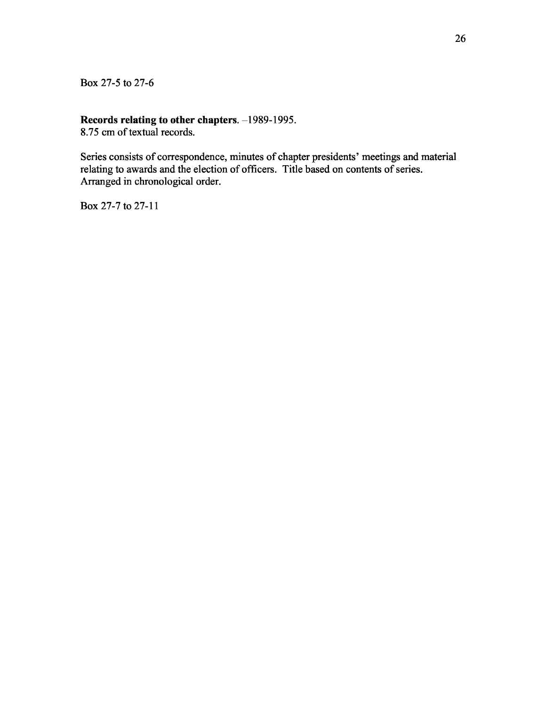Box 27-5 to 27-6

# **Records relating to other chapters .** –1989-1995 .

8.75 cm of textual records.

Series consists of correspondence, minutes of chapter presidents' meetings and material relating to awards and the election of officers. Title based on contents of series. Arranged in chronological order.

Box 27-7 to 27-11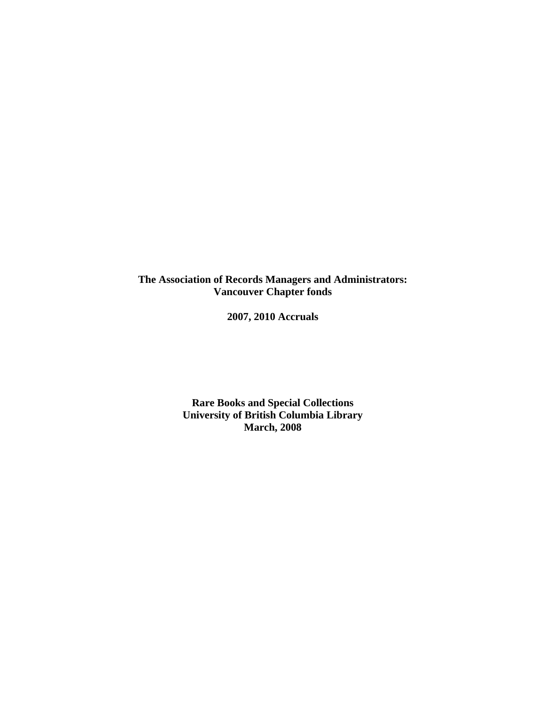**The Association of Records Managers and Administrators: Vancouver Chapter fonds** 

**2007, 2010 Accruals** 

**Rare Books and Special Collections University of British Columbia Library March, 2008**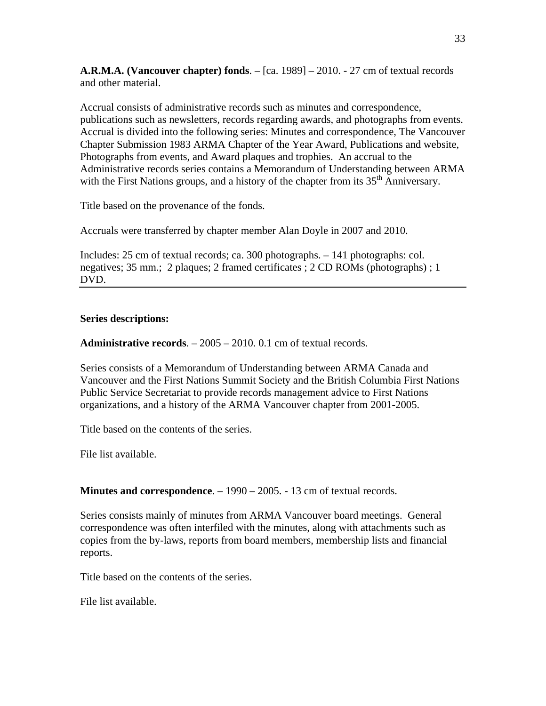**A.R.M.A. (Vancouver chapter) fonds**. – [ca. 1989] – 2010. - 27 cm of textual records and other material.

Accrual consists of administrative records such as minutes and correspondence, publications such as newsletters, records regarding awards, and photographs from events. Accrual is divided into the following series: Minutes and correspondence, The Vancouver Chapter Submission 1983 ARMA Chapter of the Year Award, Publications and website, Photographs from events, and Award plaques and trophies. An accrual to the Administrative records series contains a Memorandum of Understanding between ARMA with the First Nations groups, and a history of the chapter from its  $35<sup>th</sup>$  Anniversary.

Title based on the provenance of the fonds.

Accruals were transferred by chapter member Alan Doyle in 2007 and 2010.

Includes: 25 cm of textual records; ca. 300 photographs. – 141 photographs: col. negatives; 35 mm.; 2 plaques; 2 framed certificates ; 2 CD ROMs (photographs) ; 1 DVD.

### **Series descriptions:**

**Administrative records**. – 2005 – 2010. 0.1 cm of textual records.

Series consists of a Memorandum of Understanding between ARMA Canada and Vancouver and the First Nations Summit Society and the British Columbia First Nations Public Service Secretariat to provide records management advice to First Nations organizations, and a history of the ARMA Vancouver chapter from 2001-2005.

Title based on the contents of the series.

File list available.

### **Minutes and correspondence**. – 1990 – 2005. - 13 cm of textual records.

Series consists mainly of minutes from ARMA Vancouver board meetings. General correspondence was often interfiled with the minutes, along with attachments such as copies from the by-laws, reports from board members, membership lists and financial reports.

Title based on the contents of the series.

File list available.